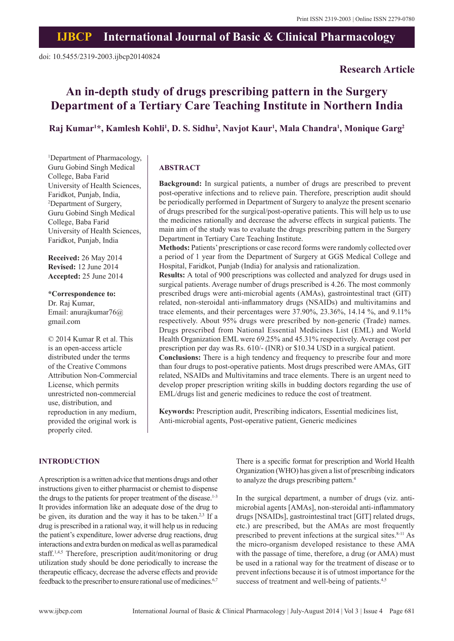**Research Article**

## **IJBCP International Journal of Basic & Clinical Pharmacology**

# **An in-depth study of drugs prescribing pattern in the Surgery Department of a Tertiary Care Teaching Institute in Northern India**

## **Raj Kumar1 \*, Kamlesh Kohli1 , D. S. Sidhu2 , Navjot Kaur1 , Mala Chandra1 , Monique Garg2**

1 Department of Pharmacology, Guru Gobind Singh Medical College, Baba Farid University of Health Sciences, Faridkot, Punjab, India, 2 Department of Surgery, Guru Gobind Singh Medical College, Baba Farid University of Health Sciences, Faridkot, Punjab, India

**Received:** 26 May 2014 **Revised:** 12 June 2014 **Accepted:** 25 June 2014

**\*Correspondence to:** Dr. Raj Kumar, Email: anurajkumar76@ gmail.com

© 2014 Kumar R et al. This is an open-access article distributed under the terms of the Creative Commons Attribution Non-Commercial License, which permits unrestricted non-commercial use, distribution, and reproduction in any medium, provided the original work is properly cited.

## **ABSTRACT**

**Background:** In surgical patients, a number of drugs are prescribed to prevent post-operative infections and to relieve pain. Therefore, prescription audit should be periodically performed in Department of Surgery to analyze the present scenario of drugs prescribed for the surgical/post-operative patients. This will help us to use the medicines rationally and decrease the adverse effects in surgical patients. The main aim of the study was to evaluate the drugs prescribing pattern in the Surgery Department in Tertiary Care Teaching Institute.

**Methods:** Patients'prescriptions or case record forms were randomly collected over a period of 1 year from the Department of Surgery at GGS Medical College and Hospital, Faridkot, Punjab (India) for analysis and rationalization.

**Results:** A total of 900 prescriptions was collected and analyzed for drugs used in surgical patients. Average number of drugs prescribed is 4.26. The most commonly prescribed drugs were anti-microbial agents (AMAs), gastrointestinal tract (GIT) related, non-steroidal anti-inflammatory drugs (NSAIDs) and multivitamins and trace elements, and their percentages were 37.90%, 23.36%, 14.14 %, and 9.11% respectively. About 95% drugs were prescribed by non-generic (Trade) names. Drugs prescribed from National Essential Medicines List (EML) and World Health Organization EML were 69.25% and 45.31% respectively. Average cost per prescription per day was Rs. 610/- (INR) or \$10.34 USD in a surgical patient. **Conclusions:** There is a high tendency and frequency to prescribe four and more than four drugs to post-operative patients. Most drugs prescribed were AMAs, GIT related, NSAIDs and Multivitamins and trace elements. There is an urgent need to develop proper prescription writing skills in budding doctors regarding the use of EML/drugs list and generic medicines to reduce the cost of treatment.

**Keywords:** Prescription audit, Prescribing indicators, Essential medicines list, Anti-microbial agents, Post-operative patient, Generic medicines

## **INTRODUCTION**

A prescription is a written advice that mentions drugs and other instructions given to either pharmacist or chemist to dispense the drugs to the patients for proper treatment of the disease.<sup>1-3</sup> It provides information like an adequate dose of the drug to be given, its duration and the way it has to be taken.<sup>2,3</sup> If a drug is prescribed in a rational way, it will help us in reducing the patient's expenditure, lower adverse drug reactions, drug interactions and extra burden on medical as well as paramedical staff.<sup>1,4,5</sup> Therefore, prescription audit/monitoring or drug utilization study should be done periodically to increase the therapeutic efficacy, decrease the adverse effects and provide feedback to the prescriber to ensure rational use of medicines.<sup>6,7</sup>

There is a specific format for prescription and World Health Organization (WHO) has given a list of prescribing indicators to analyze the drugs prescribing pattern.<sup>4</sup>

In the surgical department, a number of drugs (viz. antimicrobial agents [AMAs], non-steroidal anti-inflammatory drugs [NSAIDs], gastrointestinal tract [GIT] related drugs, etc.) are prescribed, but the AMAs are most frequently prescribed to prevent infections at the surgical sites.<sup>8-11</sup> As the micro-organism developed resistance to these AMA with the passage of time, therefore, a drug (or AMA) must be used in a rational way for the treatment of disease or to prevent infections because it is of utmost importance for the success of treatment and well-being of patients.<sup>4,5</sup>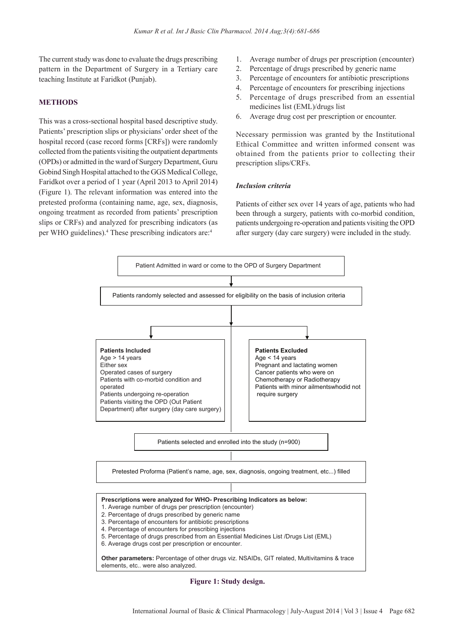The current study was done to evaluate the drugs prescribing pattern in the Department of Surgery in a Tertiary care teaching Institute at Faridkot (Punjab).

#### **METHODS**

This was a cross-sectional hospital based descriptive study. Patients' prescription slips or physicians' order sheet of the hospital record (case record forms [CRFs]) were randomly collected from the patients visiting the outpatient departments (OPDs) or admitted in the ward of Surgery Department, Guru Gobind Singh Hospital attached to the GGS Medical College, Faridkot over a period of 1 year (April 2013 to April 2014) (Figure 1). The relevant information was entered into the pretested proforma (containing name, age, sex, diagnosis, ongoing treatment as recorded from patients' prescription slips or CRFs) and analyzed for prescribing indicators (as per WHO guidelines).<sup>4</sup> These prescribing indicators are:<sup>4</sup>

- 1. Average number of drugs per prescription (encounter)
- 2. Percentage of drugs prescribed by generic name
- 3. Percentage of encounters for antibiotic prescriptions
- 4. Percentage of encounters for prescribing injections
- 5. Percentage of drugs prescribed from an essential medicines list (EML)/drugs list
- 6. Average drug cost per prescription or encounter.

Necessary permission was granted by the Institutional Ethical Committee and written informed consent was obtained from the patients prior to collecting their prescription slips/CRFs.

#### *Inclusion criteria*

Patients of either sex over 14 years of age, patients who had been through a surgery, patients with co-morbid condition, patients undergoing re-operation and patients visiting the OPD after surgery (day care surgery) were included in the study.



**Figure 1: Study design.**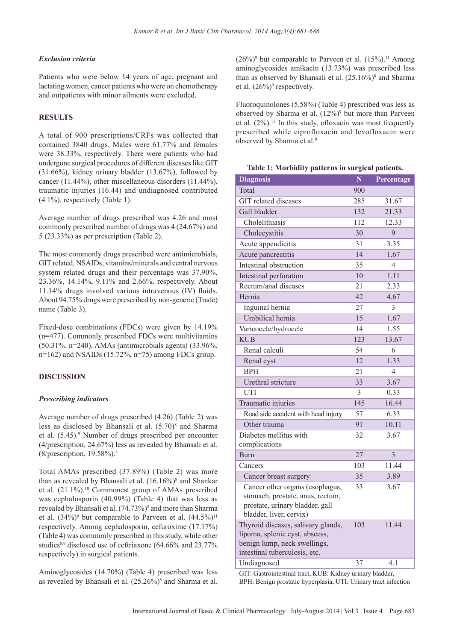#### *Exclusion criteria*

Patients who were below 14 years of age, pregnant and lactating women, cancer patients who were on chemotherapy and outpatients with minor ailments were excluded.

#### **RESULTS**

A total of 900 prescriptions/CRFs was collected that contained 3840 drugs. Males were 61.77% and females were 38.33%, respectively. There were patients who had undergone surgical procedures of different diseases like GIT (31.66%), kidney urinary bladder (13.67%), followed by cancer (11.44%), other miscellaneous disorders (11.44%), traumatic injuries (16.44) and undiagnosed contributed (4.1%), respectively (Table 1).

Average number of drugs prescribed was 4.26 and most commonly prescribed number of drugs was 4 (24.67%) and 5 (23.33%) as per prescription (Table 2).

The most commonly drugs prescribed were antimicrobials, GIT related, NSAIDs, vitamins/minerals and central nervous system related drugs and their percentage was 37.90%, 23.36%, 14.14%, 9.11% and 2.66%, respectively. About  $11.14\%$  drugs involved various intravenous (IV) fluids. About 94.75% drugs were prescribed by non-generic (Trade) name (Table 3).

Fixed-dose combinations (FDCs) were given by 14.19% (n=477). Commonly prescribed FDCs were multivitamins (50.31%, n=240), AMAs (antimicrobials agents) (33.96%,  $n=162$ ) and NSAIDs (15.72%,  $n=75$ ) among FDCs group.

#### **DISCUSSION**

#### *Prescribing indicators*

Average number of drugs prescribed (4.26) (Table 2) was less as disclosed by Bhansali et al.  $(5.70)^8$  and Sharma et al.  $(5.45)$ .<sup>9</sup> Number of drugs prescribed per encounter (4/prescription, 24.67%) less as revealed by Bhansali et al. (8/prescription, 19.58%).8

Total AMAs prescribed (37.89%) (Table 2) was more than as revealed by Bhansali et al.  $(16.16\%)^8$  and Shankar et al. (21.1%).<sup>10</sup> Commonest group of AMAs prescribed was cephalosporin (40.99%) (Table 4) that was less as revealed by Bhansali et al. (74.73%)<sup>8</sup> and more than Sharma et al.  $(34\%)^9$  but comparable to Parveen et al.  $(44.5\%)^{11}$ respectively. Among cephalosporin, cefuroxime (17.17%) (Table 4) was commonly prescribed in this study, while other studies<sup>8,9</sup> disclosed use of ceftriaxone (64.66% and 23.77% respectively) in surgical patients.

Aminoglycosides (14.70%) (Table 4) prescribed was less as revealed by Bhansali et al.  $(25.26\%)^8$  and Sharma et al.  $(26%)<sup>9</sup>$  but comparable to Parveen et al.  $(15%)<sup>11</sup>$  Among aminoglycosides amikacin (13.73%) was prescribed less than as observed by Bhansali et al.  $(25.16\%)^8$  and Sharma et al.  $(26\%)^9$  respectively.

Fluoroquinolones (5.58%) (Table 4) prescribed was less as observed by Sharma et al.  $(12\%)^9$  but more than Parveen et al.  $(2\%)$ .<sup>11</sup> In this study, of loxacin was most frequently prescribed while ciprofloxacin and levofloxacin were observed by Sharma et al.9

| <b>Diagnosis</b>                                                                                                                      | N   | Percentage     |
|---------------------------------------------------------------------------------------------------------------------------------------|-----|----------------|
| Total                                                                                                                                 | 900 |                |
| GIT related diseases                                                                                                                  | 285 | 31.67          |
| Gall bladder                                                                                                                          | 132 | 21.33          |
| Cholelithiasis                                                                                                                        | 112 | 12.33          |
| Cholecystitis                                                                                                                         | 30  | 9              |
| Acute appendicitis                                                                                                                    | 31  | 3.35           |
| Acute pancreatitis                                                                                                                    | 14  | 1.67           |
| Intestinal obstruction                                                                                                                | 35  | $\overline{4}$ |
| Intestinal perforation                                                                                                                | 10  | 1.11           |
| Rectum/anal diseases                                                                                                                  | 21  | 2.33           |
| Hernia                                                                                                                                | 42  | 4.67           |
| Inguinal hernia                                                                                                                       | 27  | $\overline{3}$ |
| Umbilical hernia                                                                                                                      | 15  | 1.67           |
| Varicocele/hydrocele                                                                                                                  | 14  | 1.55           |
| <b>KUB</b>                                                                                                                            | 123 | 13.67          |
| Renal calculi                                                                                                                         | 54  | 6              |
| Renal cyst                                                                                                                            | 12  | 1.33           |
| <b>BPH</b>                                                                                                                            | 21  | $\overline{4}$ |
| Urethral stricture                                                                                                                    | 33  | 3.67           |
| UTI                                                                                                                                   | 3   | 0.33           |
| Traumatic injuries                                                                                                                    | 145 | 16.44          |
| Road side accident with head injury                                                                                                   | 57  | 6.33           |
| Other trauma                                                                                                                          | 91  | 10.11          |
| Diabetes mellitus with                                                                                                                | 32  | 3.67           |
| complications                                                                                                                         |     |                |
| <b>Burn</b>                                                                                                                           | 27  | $\overline{3}$ |
| Cancers                                                                                                                               | 103 | 11.44          |
| Cancer breast surgery                                                                                                                 | 35  | 3.89           |
| Cancer other organs (esophagus,<br>stomach, prostate, anus, rectum,<br>prostate, urinary bladder, gall<br>bladder, liver, cervix)     | 33  | 3.67           |
| Thyroid diseases, salivary glands,<br>lipoma, splenic cyst, abscess,<br>benign lump, neck swellings,<br>intestinal tuberculosis, etc. | 103 | 11.44          |
| Undiagnosed                                                                                                                           | 37  | 4.1            |

GIT: Gastrointestinal tract, KUB: Kidney urinary bladder, BPH: Benign prostatic hyperplasia, UTI: Urinary tract infection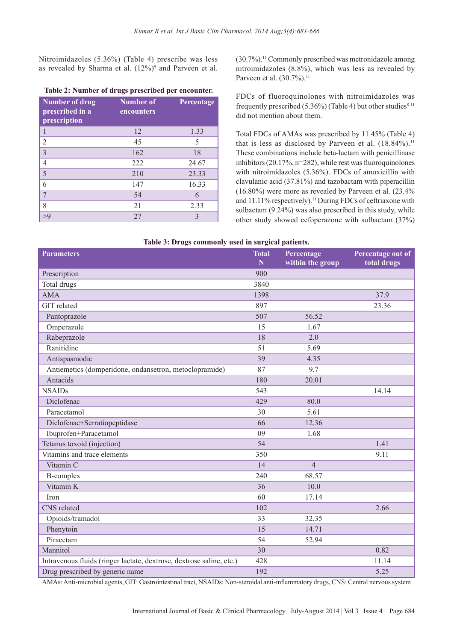Nitroimidazoles (5.36%) (Table 4) prescribe was less as revealed by Sharma et al.  $(12\%)^9$  and Parveen et al.

| <b>Number of drug</b><br>prescribed in a<br>prescription | <b>Number of</b><br>encounters | Percentage |
|----------------------------------------------------------|--------------------------------|------------|
| 1                                                        | 12                             | 1.33       |
| $\overline{2}$                                           | 45                             | 5          |
| $\overline{3}$                                           | 162                            | 18         |
| $\overline{4}$                                           | 222                            | 24.67      |
| 5                                                        | 210                            | 23.33      |
| 6                                                        | 147                            | 16.33      |
| 7                                                        | 54                             | 6          |
| 8                                                        | 21                             | 2.33       |
| >0                                                       | 27                             | 3          |

## **Table 2: Number of drugs prescribed per encounter.**

(30.7%).11 Commonly prescribed was metronidazole among nitroimidazoles (8.8%), which was less as revealed by Parveen et al. (30.7%).<sup>11</sup>

FDCs of fluoroquinolones with nitroimidazoles was frequently prescribed (5.36%) (Table 4) but other studies $8-11$ did not mention about them.

Total FDCs of AMAs was prescribed by 11.45% (Table 4) that is less as disclosed by Parveen et al.  $(18.84\%)$ .<sup>11</sup> These combinations include beta-lactam with penicillinase inhibitors  $(20.17\%, n=282)$ , while rest was fluoroquinolones with nitroimidazoles (5.36%). FDCs of amoxicillin with clavulanic acid (37.81%) and tazobactam with piperacillin (16.80%) were more as revealed by Parveen et al. (23.4% and  $11.11\%$  respectively).<sup>11</sup> During FDCs of ceftriaxone with sulbactam (9.24%) was also prescribed in this study, while other study showed cefoperazone with sulbactam (37%)

## **Table 3: Drugs commonly used in surgical patients.**

| o                                                                    |                             |                                |                                  |
|----------------------------------------------------------------------|-----------------------------|--------------------------------|----------------------------------|
| <b>Parameters</b>                                                    | <b>Total</b><br>$\mathbf N$ | Percentage<br>within the group | Percentage out of<br>total drugs |
| Prescription                                                         | 900                         |                                |                                  |
| Total drugs                                                          | 3840                        |                                |                                  |
| <b>AMA</b>                                                           | 1398                        |                                | 37.9                             |
| <b>GIT</b> related                                                   | 897                         |                                | 23.36                            |
| Pantoprazole                                                         | 507                         | 56.52                          |                                  |
| Omperazole                                                           | 15                          | 1.67                           |                                  |
| Rabeprazole                                                          | 18                          | 2.0                            |                                  |
| Ranitidine                                                           | 51                          | 5.69                           |                                  |
| Antispasmodic                                                        | 39                          | 4.35                           |                                  |
| Antiemetics (domperidone, ondansetron, metoclopramide)               | 87                          | 9.7                            |                                  |
| Antacids                                                             | 180                         | 20.01                          |                                  |
| <b>NSAIDs</b>                                                        | 543                         |                                | 14.14                            |
| Diclofenac                                                           | 429                         | 80.0                           |                                  |
| Paracetamol                                                          | 30                          | 5.61                           |                                  |
| Diclofenac+Serratiopeptidase                                         | 66                          | 12.36                          |                                  |
| Ibuprofen+Paracetamol                                                | 09                          | 1.68                           |                                  |
| Tetanus toxoid (injection)                                           | 54                          |                                | 1.41                             |
| Vitamins and trace elements                                          | 350                         |                                | 9.11                             |
| Vitamin C                                                            | 14                          | $\overline{4}$                 |                                  |
| <b>B-complex</b>                                                     | 240                         | 68.57                          |                                  |
| Vitamin K                                                            | 36                          | 10.0                           |                                  |
| <b>Iron</b>                                                          | 60                          | 17.14                          |                                  |
| <b>CNS</b> related                                                   | 102                         |                                | 2.66                             |
| Opioids/tramadol                                                     | 33                          | 32.35                          |                                  |
| Phenytoin                                                            | 15                          | 14.71                          |                                  |
| Piracetam                                                            | 54                          | 52.94                          |                                  |
| Mannitol                                                             | 30                          |                                | 0.82                             |
| Intravenous fluids (ringer lactate, dextrose, dextrose saline, etc.) | 428                         |                                | 11.14                            |
| Drug prescribed by generic name                                      | 192                         |                                | 5.25                             |

AMAs: Anti-microbial agents, GIT: Gastrointestinal tract, NSAIDs: Non-steroidal anti-inflammatory drugs, CNS: Central nervous system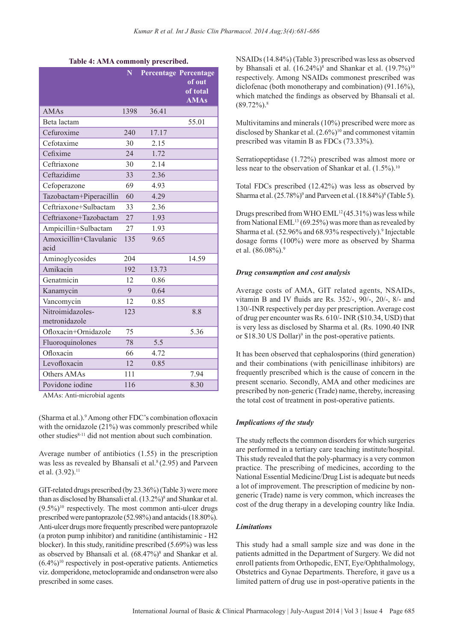#### **Table 4: AMA commonly prescribed.**

|                                   | $\overline{\mathbf{N}}$ |       | Percentage Percentage<br>of out<br>of total<br><b>AMAs</b> |
|-----------------------------------|-------------------------|-------|------------------------------------------------------------|
| <b>AMAs</b>                       | 1398                    | 36.41 |                                                            |
| Beta lactam                       |                         |       | 55.01                                                      |
| Cefuroxime                        | 240                     | 17.17 |                                                            |
| Cefotaxime                        | 30                      | 2.15  |                                                            |
| Cefixime                          | 24                      | 1.72  |                                                            |
| Ceftriaxone                       | 30                      | 2.14  |                                                            |
| Ceftazidime                       | 33                      | 2.36  |                                                            |
| Cefoperazone                      | 69                      | 4.93  |                                                            |
| Tazobactam+Piperacillin           | 60                      | 4.29  |                                                            |
| Ceftriaxone+Sulbactam             | 33                      | 2.36  |                                                            |
| Ceftriaxone+Tazobactam            | 27                      | 1.93  |                                                            |
| Ampicillin+Sulbactam              | 27                      | 1.93  |                                                            |
| Amoxicillin+Clavulanic<br>acid    | 135                     | 9.65  |                                                            |
| Aminoglycosides                   | 204                     |       | 14.59                                                      |
| Amikacin                          | 192                     | 13.73 |                                                            |
| Genatmicin                        | 12                      | 0.86  |                                                            |
| Kanamycin                         | 9                       | 0.64  |                                                            |
| Vancomycin                        | 12                      | 0.85  |                                                            |
| Nitroimidazoles-<br>metronidazole | 123                     |       | 8.8                                                        |
| Ofloxacin+Ornidazole              | 75                      |       | 5.36                                                       |
| Fluoroquinolones                  | 78                      | 5.5   |                                                            |
| Ofloxacin                         | 66                      | 4.72  |                                                            |
| Levofloxacin                      | 12                      | 0.85  |                                                            |
| Others AMAs                       | 111                     |       | 7.94                                                       |
| Povidone iodine                   | 116                     |       | 8.30                                                       |

AMAs: Anti-microbial agents

(Sharma et al.).<sup>9</sup> Among other FDC's combination of loxacin with the ornidazole (21%) was commonly prescribed while other studies8-11 did not mention about such combination.

Average number of antibiotics (1.55) in the prescription was less as revealed by Bhansali et al. $8(2.95)$  and Parveen et al.  $(3.92).$ <sup>11</sup>

GIT-related drugs prescribed (by 23.36%) (Table 3) were more than as disclosed by Bhansali et al.  $(13.2\%)^8$  and Shankar et al.  $(9.5\%)^{10}$  respectively. The most common anti-ulcer drugs prescribed were pantoprazole (52.98%) and antacids (18.80%). Anti-ulcer drugs more frequently prescribed were pantoprazole (a proton pump inhibitor) and ranitidine (antihistaminic - H2 blocker). In this study, ranitidine prescribed (5.69%) was less as observed by Bhansali et al.  $(68.47\%)^8$  and Shankar et al.  $(6.4\%)$ <sup>10</sup> respectively in post-operative patients. Antiemetics viz. domperidone, metoclopramide and ondansetron were also prescribed in some cases.

NSAIDs (14.84%) (Table 3) prescribed was less as observed by Bhansali et al.  $(16.24\%)^8$  and Shankar et al.  $(19.7\%)^{10}$ respectively. Among NSAIDs commonest prescribed was diclofenac (both monotherapy and combination) (91.16%), which matched the findings as observed by Bhansali et al.  $(89.72\%)$ .<sup>8</sup>

Multivitamins and minerals (10%) prescribed were more as disclosed by Shankar et al.  $(2.6\%)^{10}$  and commonest vitamin prescribed was vitamin B as FDCs (73.33%).

Serratiopeptidase (1.72%) prescribed was almost more or less near to the observation of Shankar et al.  $(1.5\%)$ <sup>10</sup>

Total FDCs prescribed (12.42%) was less as observed by Sharma et al. (25.78%)<sup>9</sup> and Parveen et al. (18.84%)<sup>8</sup> (Table 5).

Drugs prescribed from WHO  $EML^{12}(45.31\%)$  was less while from National EML $^{13}$  (69.25%) was more than as revealed by Sharma et al. (52.96% and 68.93% respectively).<sup>9</sup> Injectable dosage forms (100%) were more as observed by Sharma et al. (86.08%).<sup>9</sup>

#### *Drug consumption and cost analysis*

Average costs of AMA, GIT related agents, NSAIDs, vitamin B and IV fluids are Rs.  $352/-$ ,  $90/-$ ,  $20/-$ ,  $8/-$  and 130/-INR respectively per day per prescription. Average cost of drug per encounter was Rs. 610/- INR (\$10.34, USD) that is very less as disclosed by Sharma et al. (Rs. 1090.40 INR or \$18.30 US Dollar)<sup>9</sup> in the post-operative patients.

It has been observed that cephalosporins (third generation) and their combinations (with penicillinase inhibitors) are frequently prescribed which is the cause of concern in the present scenario. Secondly, AMA and other medicines are prescribed by non-generic (Trade) name, thereby, increasing the total cost of treatment in post-operative patients.

#### *Implications of the study*

The study reflects the common disorders for which surgeries are performed in a tertiary care teaching institute/hospital. This study revealed that the poly-pharmacy is a very common practice. The prescribing of medicines, according to the National Essential Medicine/Drug List is adequate but needs a lot of improvement. The prescription of medicine by nongeneric (Trade) name is very common, which increases the cost of the drug therapy in a developing country like India.

#### *Limitations*

This study had a small sample size and was done in the patients admitted in the Department of Surgery. We did not enroll patients from Orthopedic, ENT, Eye/Ophthalmology, Obstetrics and Gynae Departments. Therefore, it gave us a limited pattern of drug use in post-operative patients in the